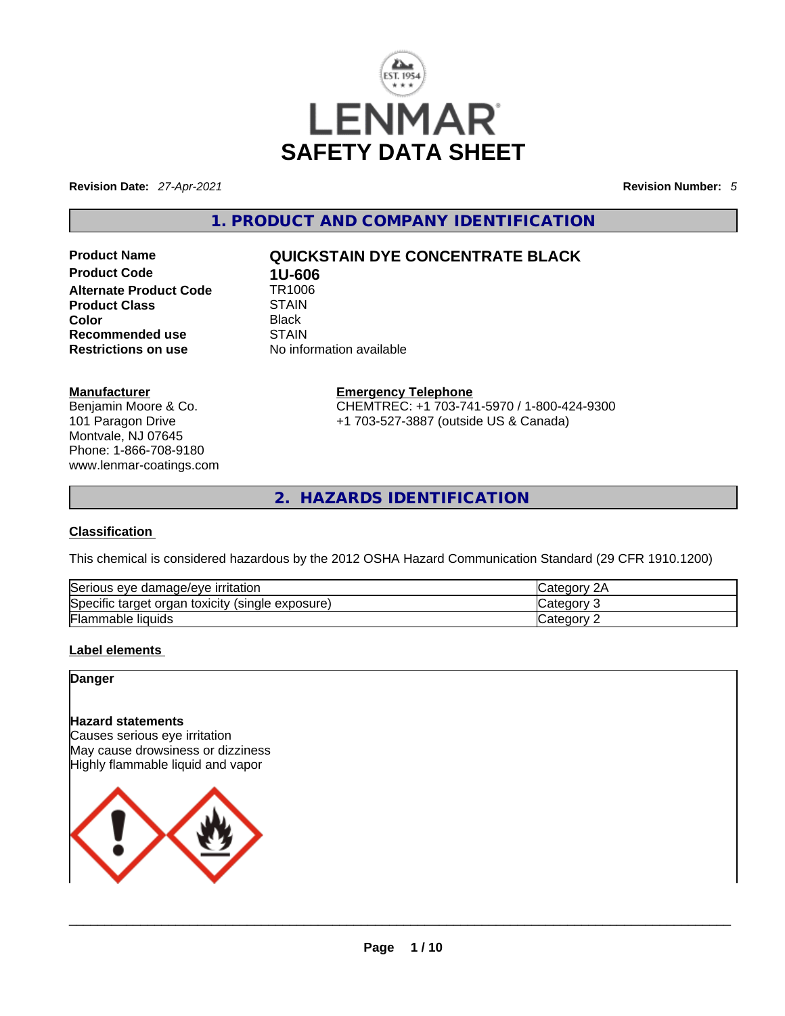

**Revision Date:** *27-Apr-2021* **Revision Number:** *5*

**1. PRODUCT AND COMPANY IDENTIFICATION** 

**Product Code 1U-606**<br>**Alternate Product Code 1R1006 Alternate Product Code 6 TR100**<br>Product Class STAIN **Product Class**<br>Color **Color** Black **Recommended use** STAIN

# **Product Name QUICKSTAIN DYE CONCENTRATE BLACK**

**Restrictions on use** No information available

### **Manufacturer**

Benjamin Moore & Co. 101 Paragon Drive Montvale, NJ 07645 Phone: 1-866-708-9180 www.lenmar-coatings.com **Emergency Telephone** CHEMTREC: +1 703-741-5970 / 1-800-424-9300 +1 703-527-3887 (outside US & Canada)

**2. HAZARDS IDENTIFICATION** 

### **Classification**

This chemical is considered hazardous by the 2012 OSHA Hazard Communication Standard (29 CFR 1910.1200)

| Serious eye damage/eye irritation                   | 2Α<br><b>ICategory</b> |
|-----------------------------------------------------|------------------------|
| Specific target organ toxicity<br>(single exposure) | Category               |
| <b>Flammable liquids</b>                            | Category               |

### **Label elements**

### **Danger**

### **Hazard statements**

Causes serious eye irritation May cause drowsiness or dizziness Highly flammable liquid and vapor

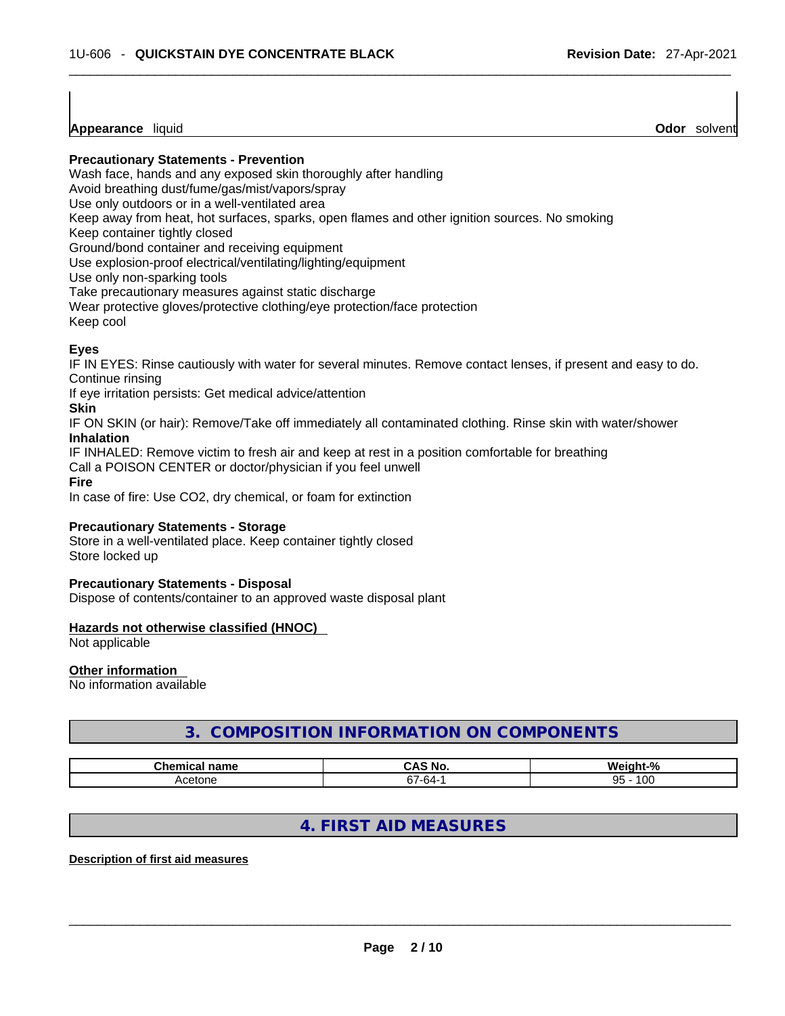**Appearance** liquid **Odor** *Solvent* **Appearance** liquid **Odor Odor Odor Odor Odor Odor Odor Odor Odor Odor Odor Odor Odor Odor Odor Odor Odor Odor Odor Odor Odor Odor Odor Odor** 

**Precautionary Statements - Prevention**

Wash face, hands and any exposed skin thoroughly after handling

Avoid breathing dust/fume/gas/mist/vapors/spray

Use only outdoors or in a well-ventilated area

Keep away from heat, hot surfaces, sparks, open flames and other ignition sources. No smoking

Keep container tightly closed

Ground/bond container and receiving equipment

Use explosion-proof electrical/ventilating/lighting/equipment

Use only non-sparking tools

Take precautionary measures against static discharge

Wear protective gloves/protective clothing/eye protection/face protection

Keep cool

### **Eyes**

IF IN EYES: Rinse cautiously with water for several minutes. Remove contact lenses, if present and easy to do. Continue rinsing

If eye irritation persists: Get medical advice/attention

### **Skin**

IF ON SKIN (or hair): Remove/Take off immediately all contaminated clothing. Rinse skin with water/shower **Inhalation**

IF INHALED: Remove victim to fresh air and keep at rest in a position comfortable for breathing

Call a POISON CENTER or doctor/physician if you feel unwell

**Fire**

In case of fire: Use CO2, dry chemical, or foam for extinction

### **Precautionary Statements - Storage**

Store in a well-ventilated place. Keep container tightly closed Store locked up

### **Precautionary Statements - Disposal**

Dispose of contents/container to an approved waste disposal plant

### **Hazards not otherwise classified (HNOC)**

Not applicable

### **Other information**

No information available

# **3. COMPOSITION INFORMATION ON COMPONENTS**

| ∼ •<br>$- -$<br>name<br>шьа | <b>NO</b><br>n       | W.        |
|-----------------------------|----------------------|-----------|
| ∺нотн<br>−₩.                | $\sim$<br>- 64.<br>ີ | 100<br>95 |

# **4. FIRST AID MEASURES**

### **Description of first aid measures**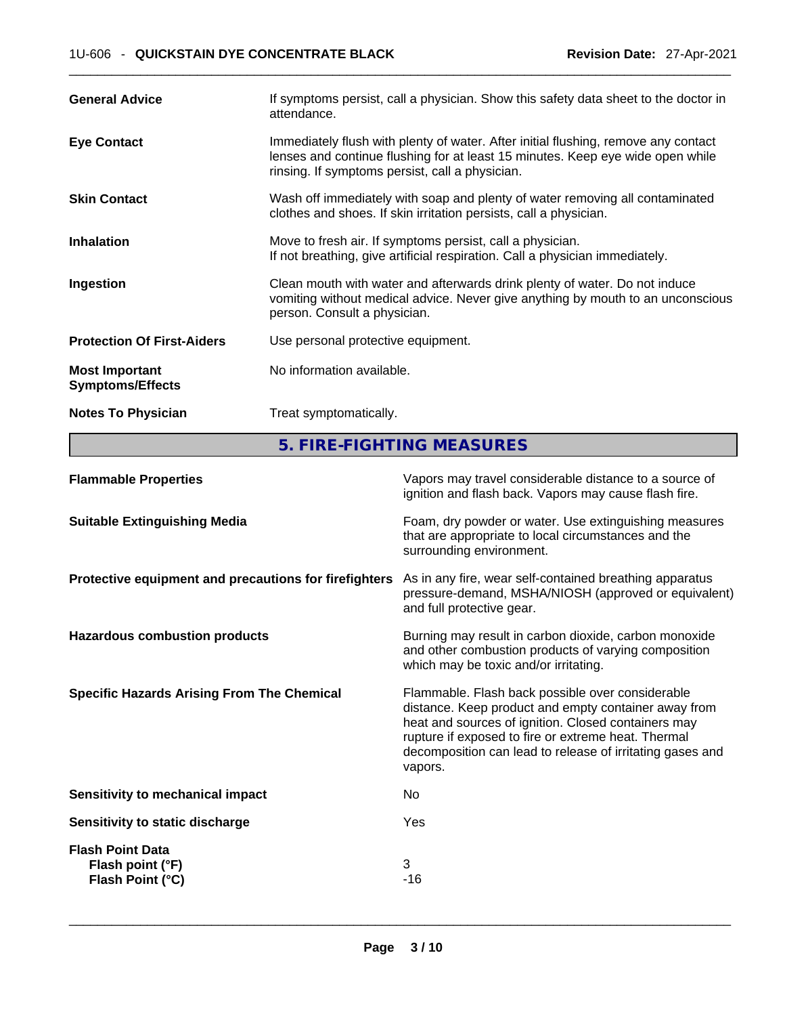| <b>General Advice</b>                            | If symptoms persist, call a physician. Show this safety data sheet to the doctor in<br>attendance.                                                                                                                      |
|--------------------------------------------------|-------------------------------------------------------------------------------------------------------------------------------------------------------------------------------------------------------------------------|
| <b>Eye Contact</b>                               | Immediately flush with plenty of water. After initial flushing, remove any contact<br>lenses and continue flushing for at least 15 minutes. Keep eye wide open while<br>rinsing. If symptoms persist, call a physician. |
| <b>Skin Contact</b>                              | Wash off immediately with soap and plenty of water removing all contaminated<br>clothes and shoes. If skin irritation persists, call a physician.                                                                       |
| <b>Inhalation</b>                                | Move to fresh air. If symptoms persist, call a physician.<br>If not breathing, give artificial respiration. Call a physician immediately.                                                                               |
| Ingestion                                        | Clean mouth with water and afterwards drink plenty of water. Do not induce<br>vomiting without medical advice. Never give anything by mouth to an unconscious<br>person. Consult a physician.                           |
| <b>Protection Of First-Aiders</b>                | Use personal protective equipment.                                                                                                                                                                                      |
| <b>Most Important</b><br><b>Symptoms/Effects</b> | No information available.                                                                                                                                                                                               |
| <b>Notes To Physician</b>                        | Treat symptomatically.                                                                                                                                                                                                  |

**5. FIRE-FIGHTING MEASURES** 

| <b>Flammable Properties</b>                                     | Vapors may travel considerable distance to a source of<br>ignition and flash back. Vapors may cause flash fire.                                                                                                                                                                                |
|-----------------------------------------------------------------|------------------------------------------------------------------------------------------------------------------------------------------------------------------------------------------------------------------------------------------------------------------------------------------------|
| <b>Suitable Extinguishing Media</b>                             | Foam, dry powder or water. Use extinguishing measures<br>that are appropriate to local circumstances and the<br>surrounding environment.                                                                                                                                                       |
| Protective equipment and precautions for firefighters           | As in any fire, wear self-contained breathing apparatus<br>pressure-demand, MSHA/NIOSH (approved or equivalent)<br>and full protective gear.                                                                                                                                                   |
| <b>Hazardous combustion products</b>                            | Burning may result in carbon dioxide, carbon monoxide<br>and other combustion products of varying composition<br>which may be toxic and/or irritating.                                                                                                                                         |
| <b>Specific Hazards Arising From The Chemical</b>               | Flammable. Flash back possible over considerable<br>distance. Keep product and empty container away from<br>heat and sources of ignition. Closed containers may<br>rupture if exposed to fire or extreme heat. Thermal<br>decomposition can lead to release of irritating gases and<br>vapors. |
| Sensitivity to mechanical impact                                | No.                                                                                                                                                                                                                                                                                            |
| Sensitivity to static discharge                                 | Yes                                                                                                                                                                                                                                                                                            |
| <b>Flash Point Data</b><br>Flash point (°F)<br>Flash Point (°C) | 3<br>$-16$                                                                                                                                                                                                                                                                                     |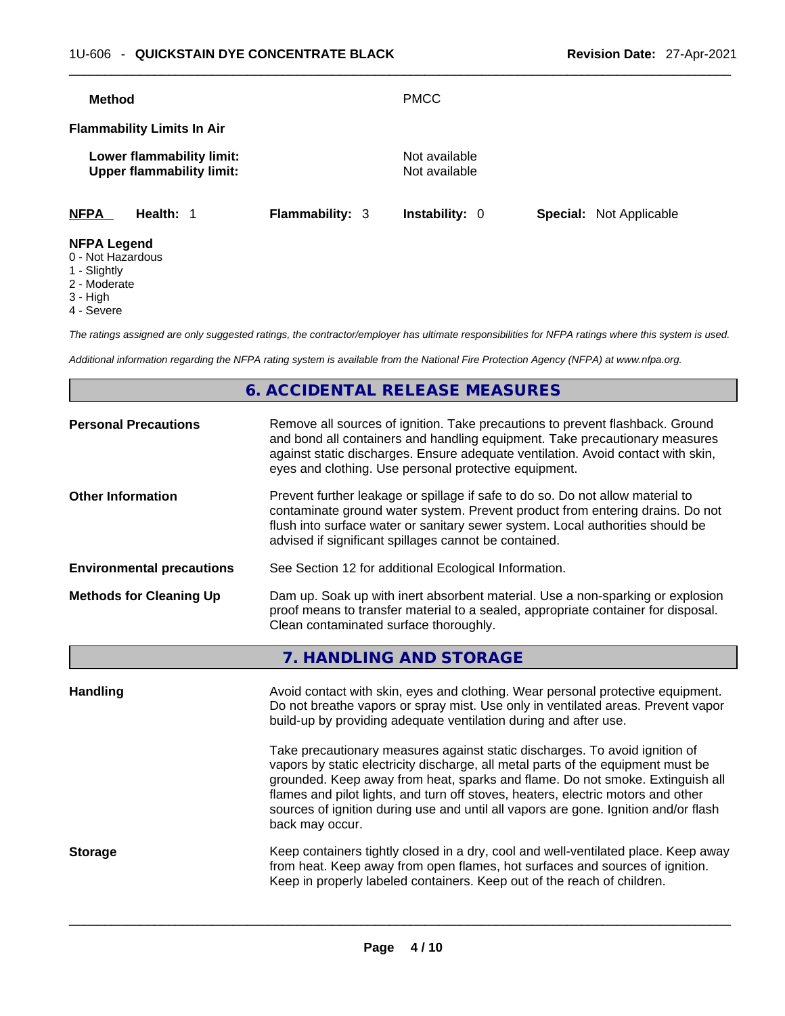| <b>Method</b>                           |                                                               |                        | <b>PMCC</b>                    |                                |
|-----------------------------------------|---------------------------------------------------------------|------------------------|--------------------------------|--------------------------------|
|                                         | <b>Flammability Limits In Air</b>                             |                        |                                |                                |
|                                         | Lower flammability limit:<br><b>Upper flammability limit:</b> |                        | Not available<br>Not available |                                |
| <b>NFPA</b>                             | Health: 1                                                     | <b>Flammability: 3</b> | <b>Instability: 0</b>          | <b>Special: Not Applicable</b> |
| <b>NFPA Legend</b><br>0 - Not Hazardous |                                                               |                        |                                |                                |

- 1 Slightly
- 2 Moderate
- 3 High
- 4 Severe

*The ratings assigned are only suggested ratings, the contractor/employer has ultimate responsibilities for NFPA ratings where this system is used.* 

*Additional information regarding the NFPA rating system is available from the National Fire Protection Agency (NFPA) at www.nfpa.org.* 

# **6. ACCIDENTAL RELEASE MEASURES**

| <b>Personal Precautions</b>      | Remove all sources of ignition. Take precautions to prevent flashback. Ground<br>and bond all containers and handling equipment. Take precautionary measures<br>against static discharges. Ensure adequate ventilation. Avoid contact with skin,<br>eyes and clothing. Use personal protective equipment.                                                                                                                                                                                   |
|----------------------------------|---------------------------------------------------------------------------------------------------------------------------------------------------------------------------------------------------------------------------------------------------------------------------------------------------------------------------------------------------------------------------------------------------------------------------------------------------------------------------------------------|
| <b>Other Information</b>         | Prevent further leakage or spillage if safe to do so. Do not allow material to<br>contaminate ground water system. Prevent product from entering drains. Do not<br>flush into surface water or sanitary sewer system. Local authorities should be<br>advised if significant spillages cannot be contained.                                                                                                                                                                                  |
| <b>Environmental precautions</b> | See Section 12 for additional Ecological Information.                                                                                                                                                                                                                                                                                                                                                                                                                                       |
| <b>Methods for Cleaning Up</b>   | Dam up. Soak up with inert absorbent material. Use a non-sparking or explosion<br>proof means to transfer material to a sealed, appropriate container for disposal.<br>Clean contaminated surface thoroughly.                                                                                                                                                                                                                                                                               |
|                                  | 7. HANDLING AND STORAGE                                                                                                                                                                                                                                                                                                                                                                                                                                                                     |
| <b>Handling</b>                  | Avoid contact with skin, eyes and clothing. Wear personal protective equipment.<br>Do not breathe vapors or spray mist. Use only in ventilated areas. Prevent vapor<br>build-up by providing adequate ventilation during and after use.<br>Take precautionary measures against static discharges. To avoid ignition of<br>vapors by static electricity discharge, all metal parts of the equipment must be<br>grounded. Keep away from heat, sparks and flame. Do not smoke. Extinguish all |
|                                  | flames and pilot lights, and turn off stoves, heaters, electric motors and other<br>sources of ignition during use and until all vapors are gone. Ignition and/or flash<br>back may occur.                                                                                                                                                                                                                                                                                                  |
| <b>Storage</b>                   | Keep containers tightly closed in a dry, cool and well-ventilated place. Keep away<br>from heat. Keep away from open flames, hot surfaces and sources of ignition.<br>Keep in properly labeled containers. Keep out of the reach of children.                                                                                                                                                                                                                                               |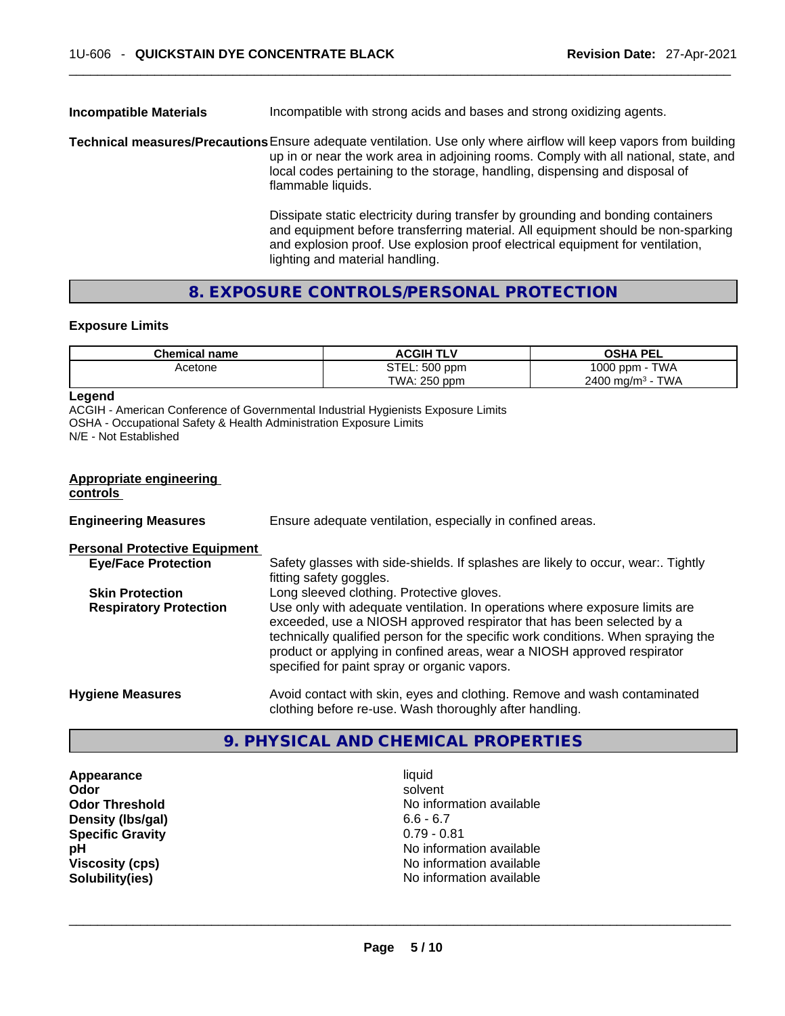### **Incompatible Materials Incompatible** with strong acids and bases and strong oxidizing agents.

**Technical measures/Precautions**Ensure adequate ventilation. Use only where airflow will keep vapors from building up in or near the work area in adjoining rooms. Comply with all national, state, and local codes pertaining to the storage, handling, dispensing and disposal of flammable liquids.

> Dissipate static electricity during transfer by grounding and bonding containers and equipment before transferring material. All equipment should be non-sparking and explosion proof. Use explosion proof electrical equipment for ventilation, lighting and material handling.

### **8. EXPOSURE CONTROLS/PERSONAL PROTECTION**

### **Exposure Limits**

| <b>Chemical name</b> | <b>ACGIH TLV</b> | <b>OSHA PEL</b>                          |
|----------------------|------------------|------------------------------------------|
| Acetone              | STEL: 500 ppm    | 1000 ppm -<br><b>TWA</b>                 |
|                      | TWA: 250 ppm     | <b>TWA</b><br>$2400$ mg/m <sup>3</sup> - |

### **Legend**

ACGIH - American Conference of Governmental Industrial Hygienists Exposure Limits OSHA - Occupational Safety & Health Administration Exposure Limits N/E - Not Established

#### **Appropriate engineering controls**

| <b>Engineering Measures</b>          | Ensure adequate ventilation, especially in confined areas.                                                                                                                                                                                                                                                                                                          |
|--------------------------------------|---------------------------------------------------------------------------------------------------------------------------------------------------------------------------------------------------------------------------------------------------------------------------------------------------------------------------------------------------------------------|
| <b>Personal Protective Equipment</b> |                                                                                                                                                                                                                                                                                                                                                                     |
| <b>Eye/Face Protection</b>           | Safety glasses with side-shields. If splashes are likely to occur, wear:. Tightly<br>fitting safety goggles.                                                                                                                                                                                                                                                        |
| <b>Skin Protection</b>               | Long sleeved clothing. Protective gloves.                                                                                                                                                                                                                                                                                                                           |
| <b>Respiratory Protection</b>        | Use only with adequate ventilation. In operations where exposure limits are<br>exceeded, use a NIOSH approved respirator that has been selected by a<br>technically qualified person for the specific work conditions. When spraying the<br>product or applying in confined areas, wear a NIOSH approved respirator<br>specified for paint spray or organic vapors. |
| <b>Hygiene Measures</b>              | Avoid contact with skin, eyes and clothing. Remove and wash contaminated<br>clothing before re-use. Wash thoroughly after handling.                                                                                                                                                                                                                                 |

# **9. PHYSICAL AND CHEMICAL PROPERTIES**

**Appearance** liquid **Density (Ibs/gal)** 6.6 - 6.7<br> **Specific Gravity** 6.7 - 6.7 0.79 - 0.81 **Specific Gravity** 

**Odor Solvent Solvent Solvent Solvent Odor Threshold** No information available **pH pH No** information available **Viscosity (cps) No information available No** information available **Solubility(ies)** No information available \_\_\_\_\_\_\_\_\_\_\_\_\_\_\_\_\_\_\_\_\_\_\_\_\_\_\_\_\_\_\_\_\_\_\_\_\_\_\_\_\_\_\_\_\_\_\_\_\_\_\_\_\_\_\_\_\_\_\_\_\_\_\_\_\_\_\_\_\_\_\_\_\_\_\_\_\_\_\_\_\_\_\_\_\_\_\_\_\_\_\_\_\_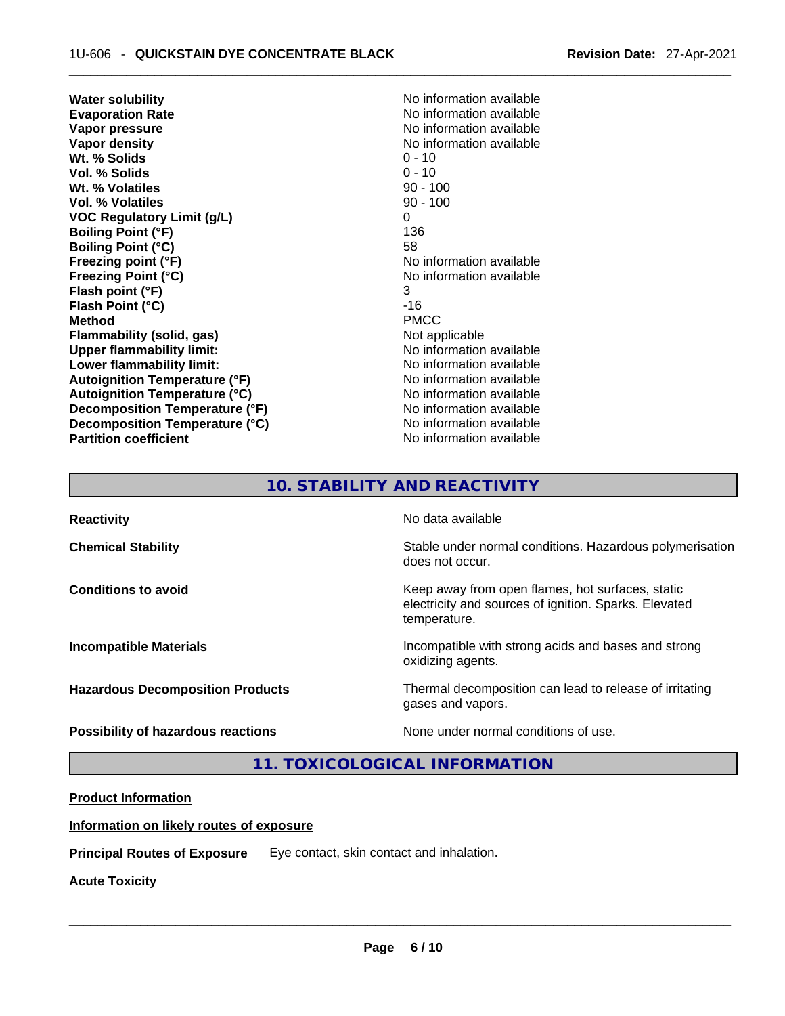**Water solubility No information available No information available Evaporation Rate No information available No information available Vapor pressure**  No information available **Vapor density No information available No** information available **Wt. % Solids** 0 - 10 **Vol. % Solids** 0 - 10 **Wt. % Volatiles** 90 - 100 **Vol. % Volatiles VOC Regulatory Limit (g/L)** 0 **Boiling Point (°F) Boiling Point (°C)** 58 **Freezing point (°F)**<br> **Freezing Point (°C)**<br> **Freezing Point (°C)**<br> **No information available Flash point (°F)** 3 **Flash Point (°C)** -16 **Method** PMCC **Flammability (solid, gas)** Not applicable **Upper flammability limit:** No information available **Lower flammability limit:** No information available **Lower** flammability limit: **Autoignition Temperature (°F)** No information available **Autoignition Temperature (°C)** No information available **Decomposition Temperature (°F)** No information available **Decomposition Temperature (°C)** No information available **Partition coefficient Contract Community No information available** 

**Freezing Point (°C)** No information available

# **10. STABILITY AND REACTIVITY**

**Reactivity No data available Chemical Stability Stability** Stable under normal conditions. Hazardous polymerisation does not occur. **Conditions to avoid** Conditions **to Avoid** Keep away from open flames, hot surfaces, static electricity and sources of ignition. Sparks. Elevated temperature. **Incompatible Materials Incompatible with strong acids and bases and strong** oxidizing agents. **Hazardous Decomposition Products** Thermal decomposition can lead to release of irritating gases and vapors. **Possibility of hazardous reactions** None under normal conditions of use.

**11. TOXICOLOGICAL INFORMATION** 

### **Product Information**

### **Information on likely routes of exposure**

**Principal Routes of Exposure** Eye contact, skin contact and inhalation.

**Acute Toxicity**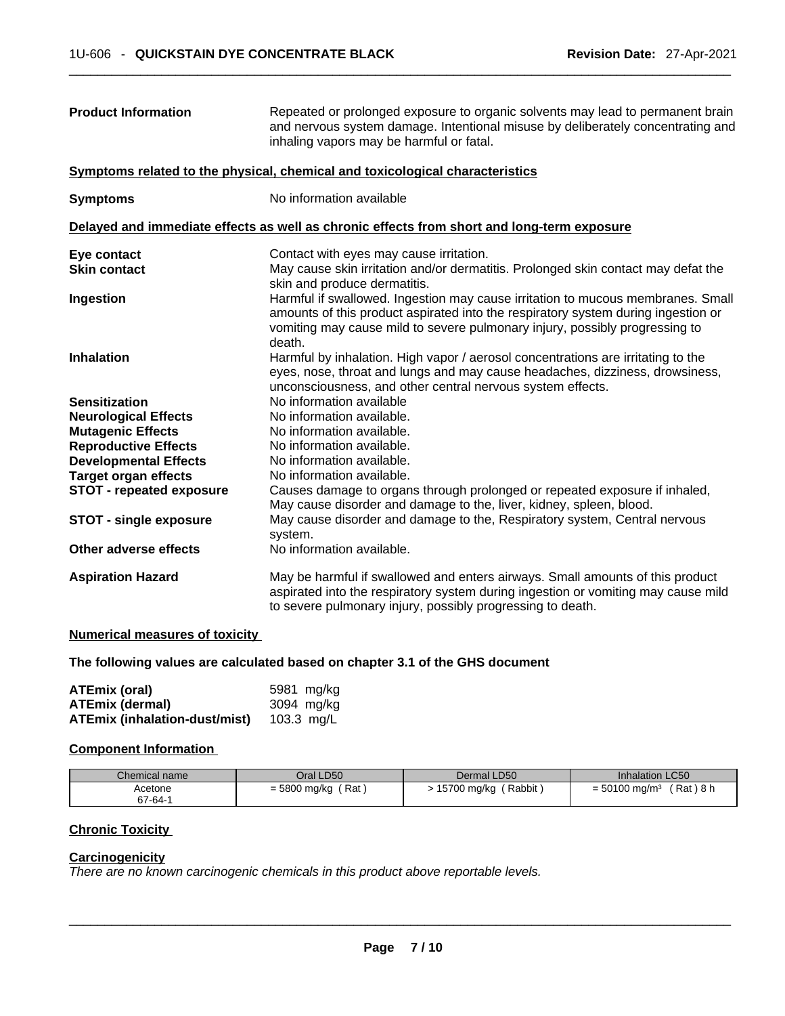| <b>Product Information</b>             | Repeated or prolonged exposure to organic solvents may lead to permanent brain<br>and nervous system damage. Intentional misuse by deliberately concentrating and<br>inhaling vapors may be harmful or fatal.                                                 |
|----------------------------------------|---------------------------------------------------------------------------------------------------------------------------------------------------------------------------------------------------------------------------------------------------------------|
|                                        | Symptoms related to the physical, chemical and toxicological characteristics                                                                                                                                                                                  |
| <b>Symptoms</b>                        | No information available                                                                                                                                                                                                                                      |
|                                        | Delayed and immediate effects as well as chronic effects from short and long-term exposure                                                                                                                                                                    |
| Eye contact                            | Contact with eyes may cause irritation.                                                                                                                                                                                                                       |
| <b>Skin contact</b>                    | May cause skin irritation and/or dermatitis. Prolonged skin contact may defat the<br>skin and produce dermatitis.                                                                                                                                             |
| Ingestion                              | Harmful if swallowed. Ingestion may cause irritation to mucous membranes. Small<br>amounts of this product aspirated into the respiratory system during ingestion or<br>vomiting may cause mild to severe pulmonary injury, possibly progressing to<br>death. |
| <b>Inhalation</b>                      | Harmful by inhalation. High vapor / aerosol concentrations are irritating to the<br>eyes, nose, throat and lungs and may cause headaches, dizziness, drowsiness,<br>unconsciousness, and other central nervous system effects.                                |
| <b>Sensitization</b>                   | No information available                                                                                                                                                                                                                                      |
| <b>Neurological Effects</b>            | No information available.                                                                                                                                                                                                                                     |
| <b>Mutagenic Effects</b>               | No information available.                                                                                                                                                                                                                                     |
| <b>Reproductive Effects</b>            | No information available.                                                                                                                                                                                                                                     |
| <b>Developmental Effects</b>           | No information available.                                                                                                                                                                                                                                     |
| <b>Target organ effects</b>            | No information available.                                                                                                                                                                                                                                     |
| <b>STOT - repeated exposure</b>        | Causes damage to organs through prolonged or repeated exposure if inhaled,<br>May cause disorder and damage to the, liver, kidney, spleen, blood.                                                                                                             |
| <b>STOT - single exposure</b>          | May cause disorder and damage to the, Respiratory system, Central nervous<br>system.                                                                                                                                                                          |
| Other adverse effects                  | No information available.                                                                                                                                                                                                                                     |
| <b>Aspiration Hazard</b>               | May be harmful if swallowed and enters airways. Small amounts of this product<br>aspirated into the respiratory system during ingestion or vomiting may cause mild<br>to severe pulmonary injury, possibly progressing to death.                              |
| Muse out and monogeneous of taxing the |                                                                                                                                                                                                                                                               |

#### **Numerical measures of toxicity**

### **The following values are calculated based on chapter 3.1 of the GHS document**

| <b>ATEmix (oral)</b>                 | 5981 mg/kg   |
|--------------------------------------|--------------|
| <b>ATEmix (dermal)</b>               | 3094 mg/kg   |
| <b>ATEmix (inhalation-dust/mist)</b> | 103.3 $mq/L$ |

### **Component Information**

| Chemical name | Oral LD50           | Dermal LD50             | <b>Inhalation LC50</b>                   |
|---------------|---------------------|-------------------------|------------------------------------------|
| Acetone       | Rat<br>= 5800 mg/kg | (Rabbit)<br>15700 mg/kg | Rat ) 8 h<br>$= 50100$ mg/m <sup>3</sup> |
| 67-64-1       |                     |                         |                                          |

# **Chronic Toxicity**

### **Carcinogenicity**

*There are no known carcinogenic chemicals in this product above reportable levels.*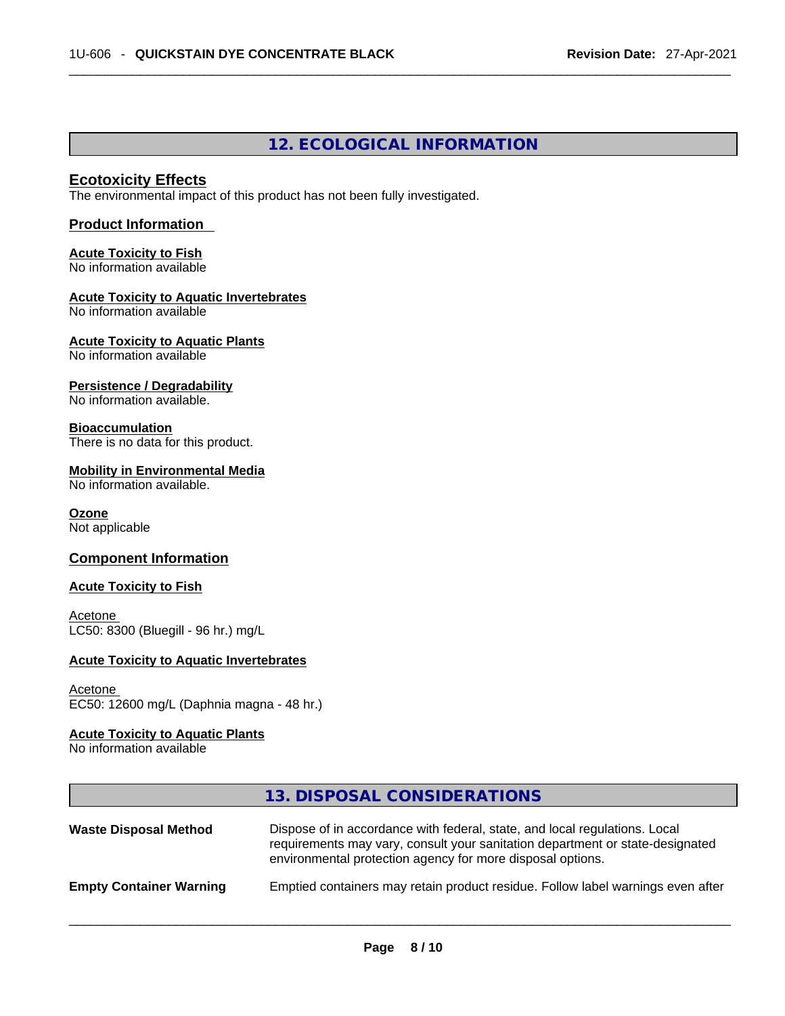# **12. ECOLOGICAL INFORMATION**

### **Ecotoxicity Effects**

The environmental impact of this product has not been fully investigated.

### **Product Information**

# **Acute Toxicity to Fish**

No information available

### **Acute Toxicity to Aquatic Invertebrates**

No information available

#### **Acute Toxicity to Aquatic Plants** No information available

### **Persistence / Degradability**

No information available.

### **Bioaccumulation**

There is no data for this product.

### **Mobility in Environmental Media**

No information available.

### **Ozone**

Not applicable

### **Component Information**

### **Acute Toxicity to Fish**

**Acetone** LC50: 8300 (Bluegill - 96 hr.) mg/L

### **Acute Toxicity to Aquatic Invertebrates**

#### Acetone EC50: 12600 mg/L (Daphnia magna - 48 hr.)

### **Acute Toxicity to Aquatic Plants**

No information available

|                                | 13. DISPOSAL CONSIDERATIONS                                                                                                                                                                                               |
|--------------------------------|---------------------------------------------------------------------------------------------------------------------------------------------------------------------------------------------------------------------------|
| <b>Waste Disposal Method</b>   | Dispose of in accordance with federal, state, and local regulations. Local<br>requirements may vary, consult your sanitation department or state-designated<br>environmental protection agency for more disposal options. |
| <b>Empty Container Warning</b> | Emptied containers may retain product residue. Follow label warnings even after                                                                                                                                           |
|                                |                                                                                                                                                                                                                           |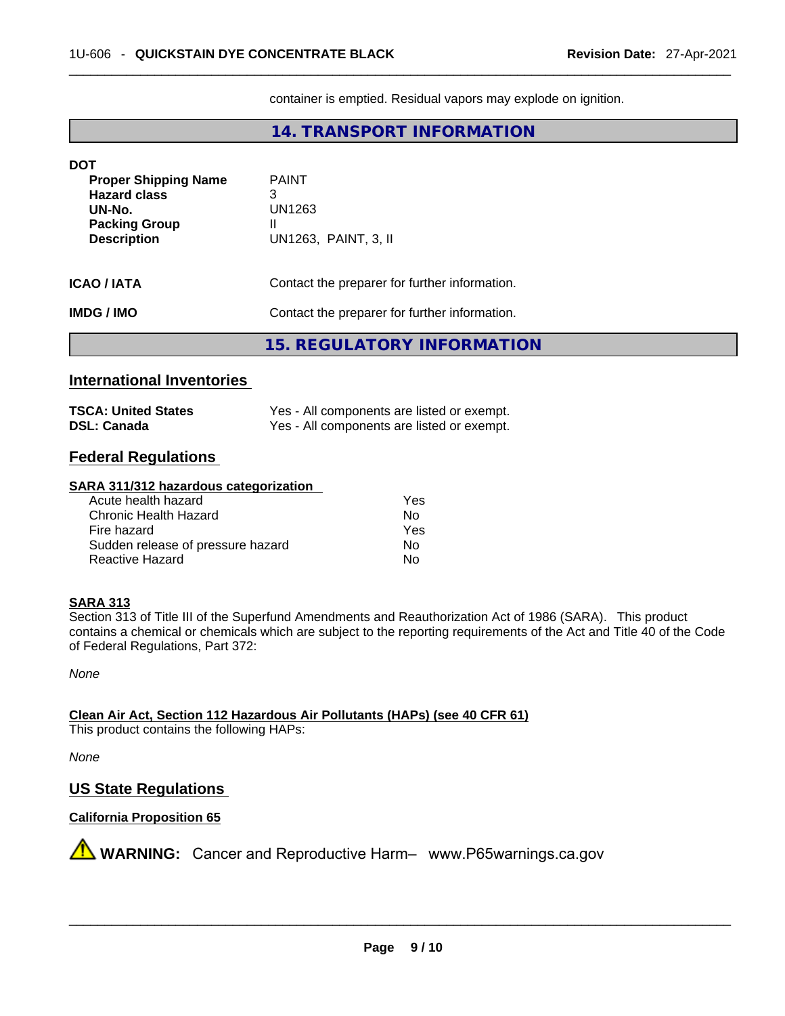container is emptied. Residual vapors may explode on ignition.

# **14. TRANSPORT INFORMATION**

| DOT                                                                                                        |                                                          |  |
|------------------------------------------------------------------------------------------------------------|----------------------------------------------------------|--|
| <b>Proper Shipping Name</b><br><b>Hazard class</b><br>UN-No.<br><b>Packing Group</b><br><b>Description</b> | <b>PAINT</b><br>3<br>UN1263<br>Ш<br>UN1263, PAINT, 3, II |  |
| <b>ICAO/IATA</b>                                                                                           | Contact the preparer for further information.            |  |
| <b>IMDG/IMO</b>                                                                                            | Contact the preparer for further information.            |  |
|                                                                                                            | <b>15. REGULATORY INFORMATION</b>                        |  |

### **International Inventories**

| <b>TSCA: United States</b> | Yes - All components are listed or exempt. |
|----------------------------|--------------------------------------------|
| <b>DSL: Canada</b>         | Yes - All components are listed or exempt. |

### **Federal Regulations**

### **SARA 311/312 hazardous categorization**

| Acute health hazard               | Yes |
|-----------------------------------|-----|
| Chronic Health Hazard             | Nο  |
| Fire hazard                       | Yes |
| Sudden release of pressure hazard | No  |
| Reactive Hazard                   | N٥  |

### **SARA 313**

Section 313 of Title III of the Superfund Amendments and Reauthorization Act of 1986 (SARA). This product contains a chemical or chemicals which are subject to the reporting requirements of the Act and Title 40 of the Code of Federal Regulations, Part 372:

*None*

**Clean Air Act,Section 112 Hazardous Air Pollutants (HAPs) (see 40 CFR 61)**

This product contains the following HAPs:

*None*

### **US State Regulations**

### **California Proposition 65**

**AVIMARNING:** Cancer and Reproductive Harm– www.P65warnings.ca.gov